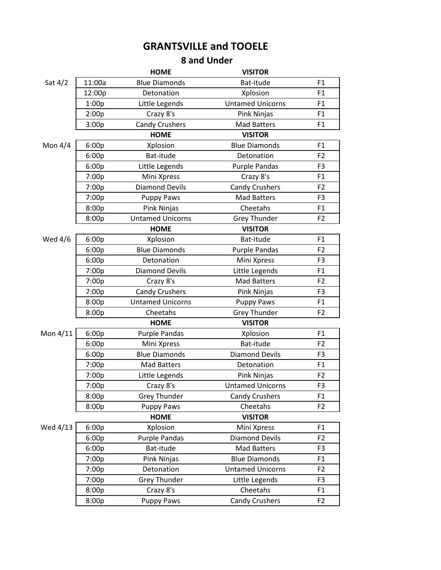## **GRANTSVILLE and TOOELE**

## **8 and Under**

|            |        | <b>HOME</b>             | <b>VISITOR</b>          |                |
|------------|--------|-------------------------|-------------------------|----------------|
| Sat $4/2$  | 11:00a | <b>Blue Diamonds</b>    | Bat-itude               | F1             |
|            | 12:00p | Detonation              | Xplosion                | F1             |
|            | 1:00p  | Little Legends          | <b>Untamed Unicorns</b> | F1             |
|            | 2:00p  | Crazy 8's               | Pink Ninjas             | F1             |
|            | 3:00p  | <b>Candy Crushers</b>   | <b>Mad Batters</b>      | F1             |
|            |        | <b>HOME</b>             | <b>VISITOR</b>          |                |
| Mon $4/4$  | 6:00p  | Xplosion                | <b>Blue Diamonds</b>    | F1             |
|            | 6:00p  | Bat-itude               | Detonation              | F <sub>2</sub> |
|            | 6:00p  | Little Legends          | <b>Purple Pandas</b>    | F <sub>3</sub> |
|            | 7:00p  | Mini Xpress             | Crazy 8's               | F1             |
|            | 7:00p  | <b>Diamond Devils</b>   | <b>Candy Crushers</b>   | F <sub>2</sub> |
|            | 7:00p  | <b>Puppy Paws</b>       | <b>Mad Batters</b>      | F <sub>3</sub> |
|            | 8:00p  | Pink Ninjas             | Cheetahs                | F1             |
|            | 8:00p  | <b>Untamed Unicorns</b> | <b>Grey Thunder</b>     | F <sub>2</sub> |
|            |        | <b>HOME</b>             | <b>VISITOR</b>          |                |
| Wed 4/6    | 6:00p  | Xplosion                | Bat-itude               | F1             |
|            | 6:00p  | <b>Blue Diamonds</b>    | <b>Purple Pandas</b>    | F <sub>2</sub> |
|            | 6:00p  | Detonation              | Mini Xpress             | F <sub>3</sub> |
|            | 7:00p  | <b>Diamond Devils</b>   | Little Legends          | F <sub>1</sub> |
|            | 7:00p  | Crazy 8's               | <b>Mad Batters</b>      | F <sub>2</sub> |
|            | 7:00p  | <b>Candy Crushers</b>   | Pink Ninjas             | F <sub>3</sub> |
|            | 8:00p  | <b>Untamed Unicorns</b> | <b>Puppy Paws</b>       | F1             |
|            | 8:00p  | Cheetahs                | <b>Grey Thunder</b>     | F <sub>2</sub> |
|            |        | <b>HOME</b>             | <b>VISITOR</b>          |                |
| Mon $4/11$ | 6:00p  | Purple Pandas           | Xplosion                | F1             |
|            | 6:00p  | Mini Xpress             | Bat-itude               | F <sub>2</sub> |
|            | 6:00p  | <b>Blue Diamonds</b>    | <b>Diamond Devils</b>   | F <sub>3</sub> |
|            | 7:00p  | <b>Mad Batters</b>      | Detonation              | F1             |
|            | 7:00p  | Little Legends          | Pink Ninjas             | F <sub>2</sub> |
|            | 7:00p  | Crazy 8's               | <b>Untamed Unicorns</b> | F <sub>3</sub> |
|            | 8:00p  | <b>Grey Thunder</b>     | <b>Candy Crushers</b>   | F <sub>1</sub> |
|            | 8:00p  | <b>Puppy Paws</b>       | Cheetahs                | F <sub>2</sub> |
|            |        | <b>HOME</b>             | <b>VISITOR</b>          |                |
| Wed 4/13   | 6:00p  | Xplosion                | Mini Xpress             | F1             |
|            | 6:00p  | Purple Pandas           | <b>Diamond Devils</b>   | F <sub>2</sub> |
|            | 6:00p  | Bat-itude               | <b>Mad Batters</b>      | F <sub>3</sub> |
|            | 7:00p  | Pink Ninjas             | <b>Blue Diamonds</b>    | F <sub>1</sub> |
|            | 7:00p  | Detonation              | <b>Untamed Unicorns</b> | F <sub>2</sub> |
|            | 7:00p  | <b>Grey Thunder</b>     | Little Legends          | F3             |
|            | 8:00p  | Crazy 8's               | Cheetahs                | F1             |
|            | 8:00p  | Puppy Paws              | <b>Candy Crushers</b>   | F <sub>2</sub> |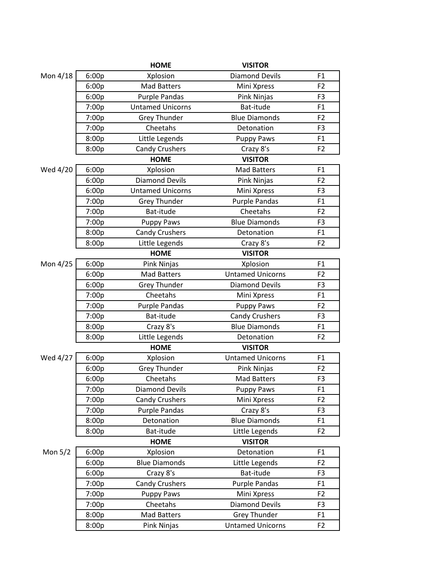|           |       | <b>HOME</b>             | <b>VISITOR</b>          |                |
|-----------|-------|-------------------------|-------------------------|----------------|
| Mon 4/18  | 6:00p | Xplosion                | <b>Diamond Devils</b>   | F <sub>1</sub> |
|           | 6:00p | <b>Mad Batters</b>      | Mini Xpress             | F <sub>2</sub> |
|           | 6:00p | Purple Pandas           | Pink Ninjas             | F <sub>3</sub> |
|           | 7:00p | <b>Untamed Unicorns</b> | Bat-itude               | F1             |
|           | 7:00p | <b>Grey Thunder</b>     | <b>Blue Diamonds</b>    | F <sub>2</sub> |
|           | 7:00p | Cheetahs                | Detonation              | F <sub>3</sub> |
|           | 8:00p | Little Legends          | <b>Puppy Paws</b>       | F1             |
|           | 8:00p | <b>Candy Crushers</b>   | Crazy 8's               | F <sub>2</sub> |
|           |       | <b>HOME</b>             | <b>VISITOR</b>          |                |
| Wed 4/20  | 6:00p | Xplosion                | <b>Mad Batters</b>      | F1             |
|           | 6:00p | <b>Diamond Devils</b>   | Pink Ninjas             | F <sub>2</sub> |
|           | 6:00p | <b>Untamed Unicorns</b> | Mini Xpress             | F3             |
|           | 7:00p | <b>Grey Thunder</b>     | <b>Purple Pandas</b>    | F1             |
|           | 7:00p | Bat-itude               | Cheetahs                | F <sub>2</sub> |
|           | 7:00p | <b>Puppy Paws</b>       | <b>Blue Diamonds</b>    | F <sub>3</sub> |
|           | 8:00p | <b>Candy Crushers</b>   | Detonation              | F1             |
|           | 8:00p | Little Legends          | Crazy 8's               | F <sub>2</sub> |
|           |       | <b>HOME</b>             | <b>VISITOR</b>          |                |
| Mon 4/25  | 6:00p | Pink Ninjas             | Xplosion                | F1             |
|           | 6:00p | <b>Mad Batters</b>      | <b>Untamed Unicorns</b> | F <sub>2</sub> |
|           | 6:00p | <b>Grey Thunder</b>     | <b>Diamond Devils</b>   | F <sub>3</sub> |
|           | 7:00p | Cheetahs                | Mini Xpress             | F1             |
|           | 7:00p | Purple Pandas           | <b>Puppy Paws</b>       | F <sub>2</sub> |
|           | 7:00p | Bat-itude               | <b>Candy Crushers</b>   | F <sub>3</sub> |
|           | 8:00p | Crazy 8's               | <b>Blue Diamonds</b>    | F1             |
|           | 8:00p | Little Legends          | Detonation              | F <sub>2</sub> |
|           |       | <b>HOME</b>             | <b>VISITOR</b>          |                |
| Wed 4/27  | 6:00p | Xplosion                | <b>Untamed Unicorns</b> | F1             |
|           | 6:00p | <b>Grey Thunder</b>     | Pink Ninjas             | F <sub>2</sub> |
|           | 6:00p | Cheetahs                | <b>Mad Batters</b>      | F <sub>3</sub> |
|           | 7:00p | <b>Diamond Devils</b>   | <b>Puppy Paws</b>       | F1             |
|           | 7:00p | <b>Candy Crushers</b>   | Mini Xpress             | F2             |
|           | 7:00p | Purple Pandas           | Crazy 8's               | F <sub>3</sub> |
|           | 8:00p | Detonation              | <b>Blue Diamonds</b>    | F1             |
|           | 8:00p | Bat-itude               | Little Legends          | F <sub>2</sub> |
|           |       | <b>HOME</b>             | <b>VISITOR</b>          |                |
| Mon $5/2$ | 6:00p | Xplosion                | Detonation              | F1             |
|           | 6:00p | <b>Blue Diamonds</b>    | Little Legends          | F <sub>2</sub> |
|           | 6:00p | Crazy 8's               | Bat-itude               | F3             |
|           | 7:00p | <b>Candy Crushers</b>   | <b>Purple Pandas</b>    | F1             |
|           | 7:00p | <b>Puppy Paws</b>       | Mini Xpress             | F <sub>2</sub> |
|           | 7:00p | Cheetahs                | <b>Diamond Devils</b>   | F <sub>3</sub> |
|           | 8:00p | Mad Batters             | <b>Grey Thunder</b>     | F1             |
|           | 8:00p | Pink Ninjas             | <b>Untamed Unicorns</b> | F <sub>2</sub> |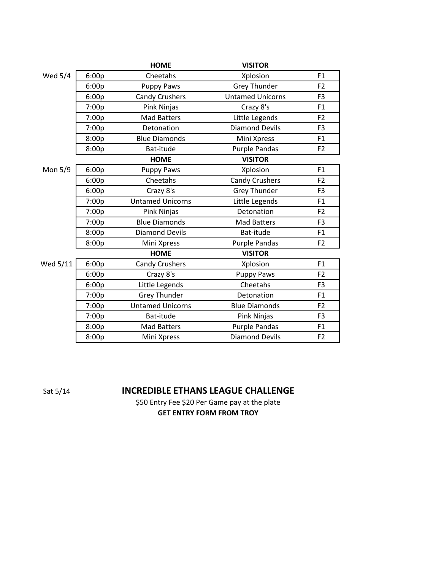|          |       | <b>HOME</b>             | <b>VISITOR</b>          |                |
|----------|-------|-------------------------|-------------------------|----------------|
| Wed 5/4  | 6:00p | Cheetahs                | Xplosion                | F1             |
|          | 6:00p | <b>Puppy Paws</b>       | <b>Grey Thunder</b>     | F <sub>2</sub> |
|          | 6:00p | <b>Candy Crushers</b>   | <b>Untamed Unicorns</b> | F <sub>3</sub> |
|          | 7:00p | Pink Ninjas             | Crazy 8's               | F <sub>1</sub> |
|          | 7:00p | <b>Mad Batters</b>      | Little Legends          | F <sub>2</sub> |
|          | 7:00p | Detonation              | <b>Diamond Devils</b>   | F <sub>3</sub> |
|          | 8:00p | <b>Blue Diamonds</b>    | Mini Xpress             | F <sub>1</sub> |
|          | 8:00p | Bat-itude               | Purple Pandas           | F <sub>2</sub> |
|          |       | <b>HOME</b>             | <b>VISITOR</b>          |                |
| Mon 5/9  | 6:00p | Puppy Paws              | Xplosion                | F <sub>1</sub> |
|          | 6:00p | Cheetahs                | <b>Candy Crushers</b>   | F <sub>2</sub> |
|          | 6:00p | Crazy 8's               | <b>Grey Thunder</b>     | F <sub>3</sub> |
|          | 7:00p | <b>Untamed Unicorns</b> | Little Legends          | F <sub>1</sub> |
|          | 7:00p | Pink Ninjas             | Detonation              | F <sub>2</sub> |
|          | 7:00p | <b>Blue Diamonds</b>    | <b>Mad Batters</b>      | F <sub>3</sub> |
|          | 8:00p | <b>Diamond Devils</b>   | Bat-itude               | F1             |
|          | 8:00p | Mini Xpress             | <b>Purple Pandas</b>    | F <sub>2</sub> |
|          |       | <b>HOME</b>             | <b>VISITOR</b>          |                |
| Wed 5/11 | 6:00p | <b>Candy Crushers</b>   | Xplosion                | F1             |
|          | 6:00p | Crazy 8's               | <b>Puppy Paws</b>       | F <sub>2</sub> |
|          | 6:00p | Little Legends          | Cheetahs                | F <sub>3</sub> |
|          | 7:00p | <b>Grey Thunder</b>     | Detonation              | F1             |
|          | 7:00p | <b>Untamed Unicorns</b> | <b>Blue Diamonds</b>    | F <sub>2</sub> |
|          | 7:00p | Bat-itude               | Pink Ninjas             | F <sub>3</sub> |
|          | 8:00p | <b>Mad Batters</b>      | Purple Pandas           | F1             |
|          | 8:00p | Mini Xpress             | <b>Diamond Devils</b>   | F <sub>2</sub> |

Sat 5/14

## **INCREDIBLE ETHANS LEAGUE CHALLENGE**

**GET ENTRY FORM FROM TROY** \$50 Entry Fee \$20 Per Game pay at the plate